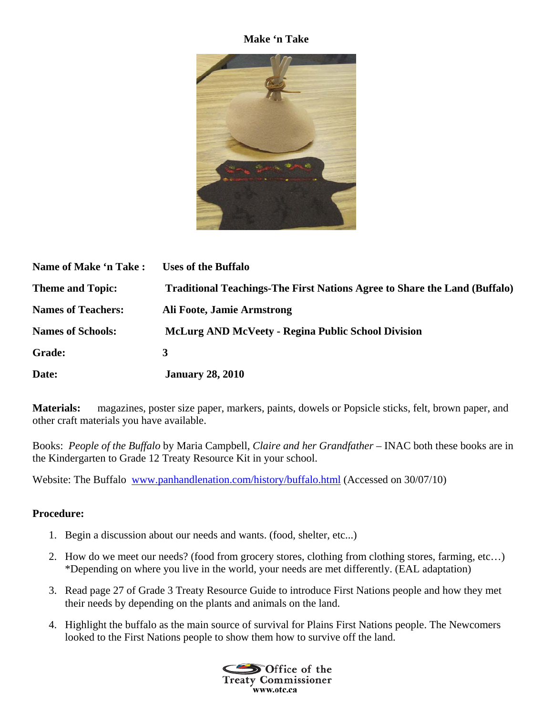## **Make 'n Take**



| Name of Make 'n Take :    | <b>Uses of the Buffalo</b>                                                       |
|---------------------------|----------------------------------------------------------------------------------|
| <b>Theme and Topic:</b>   | <b>Traditional Teachings-The First Nations Agree to Share the Land (Buffalo)</b> |
| <b>Names of Teachers:</b> | Ali Foote, Jamie Armstrong                                                       |
| <b>Names of Schools:</b>  | <b>McLurg AND McVeety - Regina Public School Division</b>                        |
| <b>Grade:</b>             | 3                                                                                |
| Date:                     | <b>January 28, 2010</b>                                                          |

**Materials:** magazines, poster size paper, markers, paints, dowels or Popsicle sticks, felt, brown paper, and other craft materials you have available.

Books: *People of the Buffalo* by Maria Campbell, *Claire and her Grandfather* – INAC both these books are in the Kindergarten to Grade 12 Treaty Resource Kit in your school.

Website: The Buffalo www.panhandlenation.com/history/buffalo.html (Accessed on 30/07/10)

## **Procedure:**

- 1. Begin a discussion about our needs and wants. (food, shelter, etc...)
- 2. How do we meet our needs? (food from grocery stores, clothing from clothing stores, farming, etc…) \*Depending on where you live in the world, your needs are met differently. (EAL adaptation)
- 3. Read page 27 of Grade 3 Treaty Resource Guide to introduce First Nations people and how they met their needs by depending on the plants and animals on the land.
- 4. Highlight the buffalo as the main source of survival for Plains First Nations people. The Newcomers looked to the First Nations people to show them how to survive off the land.